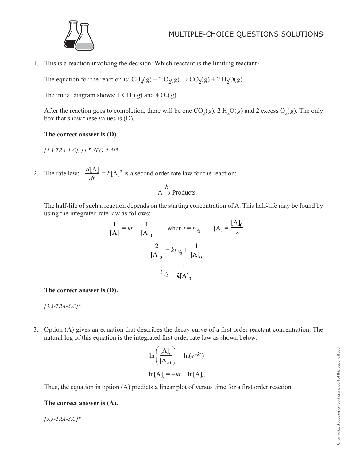

1. This is a reaction involving the decision: Which reactant is the limiting reactant?

The equation for the reaction is:  $CH_4(g) + 2 O_2(g) \rightarrow CO_2(g) + 2 H_2O(g)$ .

The initial diagram shows: 1 CH<sub>4</sub>(*g*) and 4 O<sub>2</sub>(*g*).

After the reaction goes to completion, there will be one  $CO<sub>2</sub>(g)$ , 2 H<sub>2</sub>O(*g*) and 2 excess O<sub>2</sub>(*g*). The only box that show these values is (D).

## **The correct answer is (D).**

*[4.3-TRA-1.C], [4.5-SPQ-4.A]\**

2. The rate law:  $-\frac{d}{dx}$ *dt*  $\frac{[A]}{[A]} = k[A]^2$  is a second order rate law for the reaction:

$$
A \xrightarrow{k} \text{Products}
$$

 The half-life of such a reaction depends on the starting concentration of A. This half-life may be found by using the integrated rate law as follows:

$$
\frac{1}{[A]} = kt + \frac{1}{[A]_0} \qquad \text{when } t = t_{1/2} \qquad [A] = \frac{[A]_0}{2}
$$

$$
\frac{2}{[A]_0} = kt_{1/2} + \frac{1}{[A]_0}
$$

$$
t_{1/2} = \frac{1}{k[A]_0}
$$

**The correct answer is (D).**

*[5.3-TRA-3.C]\**

3. Option (A) gives an equation that describes the decay curve of a first order reactant concentration. The natural log of this equation is the integrated first order rate law as shown below:

$$
\ln\left(\frac{[A]_t}{[A]_0}\right) = \ln(e^{-kt})
$$

$$
\ln[A]_t = -kt + \ln[A]_0
$$

Thus, the equation in option (A) predicts a linear plot of versus time for a first order reaction.

## **The correct answer is (A).**

*[5.3-TRA-3.C]\**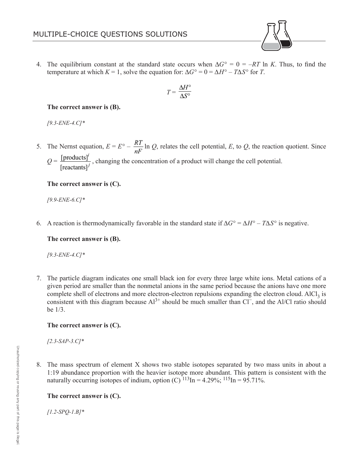4. The equilibrium constant at the standard state occurs when Δ*G*° = 0 = –*RT* ln *K*. Thus, to find the temperature at which  $K = 1$ , solve the equation for:  $\Delta G^{\circ} = 0 = \Delta H^{\circ} - T \Delta S^{\circ}$  for *T*.

$$
T = \frac{\Delta H^{\circ}}{\Delta S^{\circ}}
$$

#### **The correct answer is (B).**

*[9.3-ENE-4.C]\**

5. The Nernst equation,  $E = E^{\circ} - \frac{RT}{T}$ *nF* ln *Q*, relates the cell potential, *E*, to *Q*, the reaction quotient. Since *i* [products]

*Q* = *j* [reactants] , changing the concentration of a product will change the cell potential.

#### **The correct answer is (C).**

*[9.9-ENE-6.C]\**

6. A reaction is thermodynamically favorable in the standard state if  $\Delta G^{\circ} = \Delta H^{\circ} - T \Delta S^{\circ}$  is negative.

## **The correct answer is (B).**

*[9.3-ENE-4.C]\**

7. The particle diagram indicates one small black ion for every three large white ions. Metal cations of a given period are smaller than the nonmetal anions in the same period because the anions have one more complete shell of electrons and more electron-electron repulsions expanding the electron cloud. AlCl<sub>3</sub> is consistent with this diagram because  $Al^{3+}$  should be much smaller than Cl<sup>−</sup>, and the Al/Cl ratio should be 1/3.

## **The correct answer is (C).**

*[2.3-SAP-3.C]\**

8. The mass spectrum of element X shows two stable isotopes separated by two mass units in about a 1:19 abundance proportion with the heavier isotope more abundant. This pattern is consistent with the naturally occurring isotopes of indium, option (C)  $^{113}$ In = 4.29%;  $^{115}$ In = 95.71%.

## **The correct answer is (C).**

*[1.2-SPQ-1.B]\**